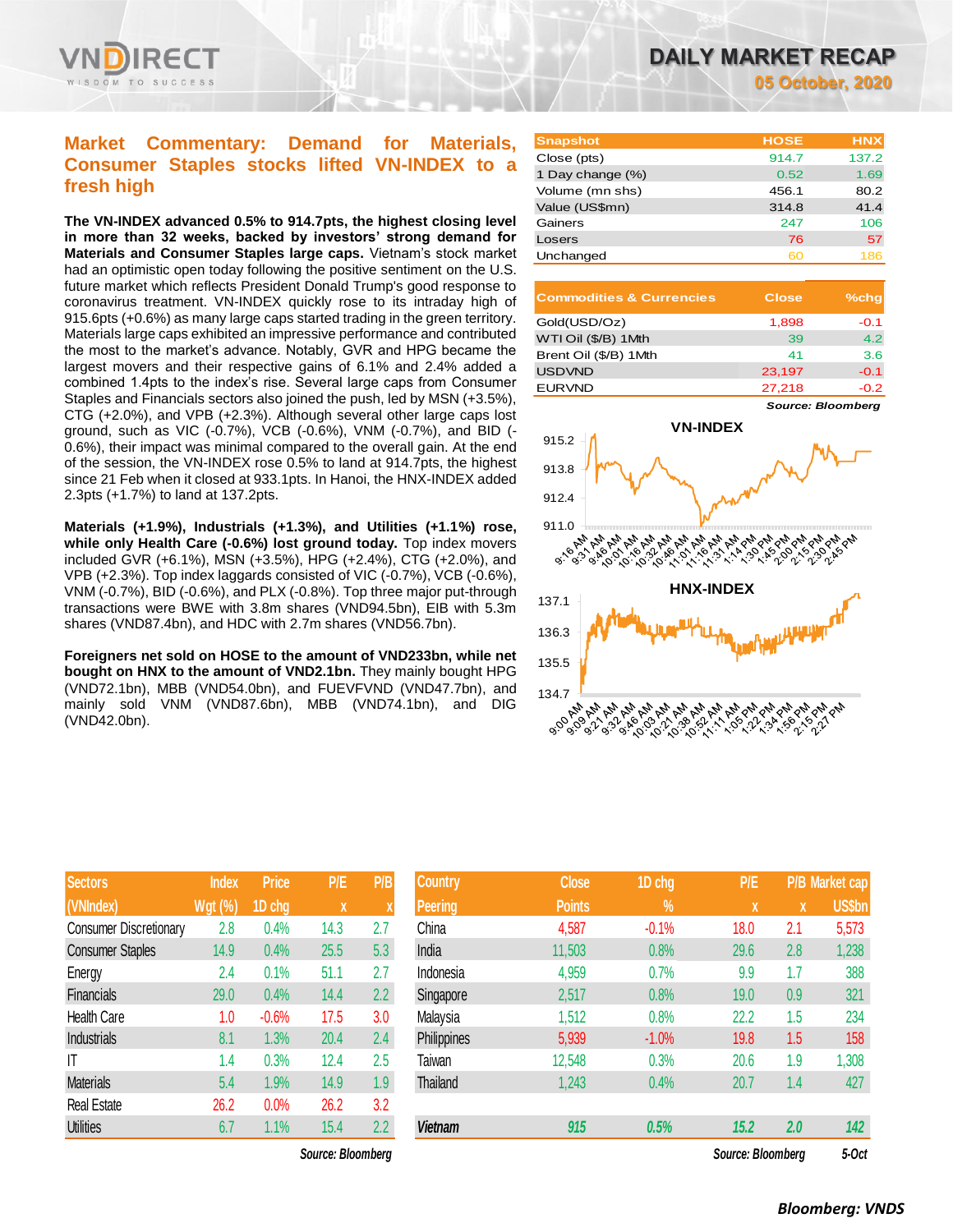

# **Market Commentary: Demand for Materials, Consumer Staples stocks lifted VN-INDEX to a fresh high**

**The VN-INDEX advanced 0.5% to 914.7pts, the highest closing level in more than 32 weeks, backed by investors' strong demand for Materials and Consumer Staples large caps.** Vietnam's stock market had an optimistic open today following the positive sentiment on the U.S. future market which reflects President Donald Trump's good response to coronavirus treatment. VN-INDEX quickly rose to its intraday high of 915.6pts (+0.6%) as many large caps started trading in the green territory. Materials large caps exhibited an impressive performance and contributed the most to the market's advance. Notably, GVR and HPG became the largest movers and their respective gains of 6.1% and 2.4% added a combined 1.4pts to the index's rise. Several large caps from Consumer Staples and Financials sectors also joined the push, led by MSN (+3.5%), CTG (+2.0%), and VPB (+2.3%). Although several other large caps lost ground, such as VIC (-0.7%), VCB (-0.6%), VNM (-0.7%), and BID (- 0.6%), their impact was minimal compared to the overall gain. At the end of the session, the VN-INDEX rose 0.5% to land at 914.7pts, the highest since 21 Feb when it closed at 933.1pts. In Hanoi, the HNX-INDEX added 2.3pts (+1.7%) to land at 137.2pts.

**Materials (+1.9%), Industrials (+1.3%), and Utilities (+1.1%) rose, while only Health Care (-0.6%) lost ground today.** Top index movers included GVR (+6.1%), MSN (+3.5%), HPG (+2.4%), CTG (+2.0%), and VPB (+2.3%). Top index laggards consisted of VIC (-0.7%), VCB (-0.6%), VNM (-0.7%), BID (-0.6%), and PLX (-0.8%). Top three major put-through transactions were BWE with 3.8m shares (VND94.5bn), EIB with 5.3m shares (VND87.4bn), and HDC with 2.7m shares (VND56.7bn).

**Foreigners net sold on HOSE to the amount of VND233bn, while net bought on HNX to the amount of VND2.1bn.** They mainly bought HPG (VND72.1bn), MBB (VND54.0bn), and FUEVFVND (VND47.7bn), and mainly sold VNM (VND87.6bn), MBB (VND74.1bn), and DIG (VND42.0bn).

| <b>Sectors</b>                | Index          | <b>Price</b> | <b>P/E</b> | P/B |
|-------------------------------|----------------|--------------|------------|-----|
| (VNIndex)                     | <b>Wgt (%)</b> | 1D chg       | X          | X   |
| <b>Consumer Discretionary</b> | 2.8            | 0.4%         | 14.3       | 2.7 |
| <b>Consumer Staples</b>       | 14.9           | 0.4%         | 25.5       | 5.3 |
| Energy                        | 2.4            | 0.1%         | 51.1       | 2.7 |
| Financials                    | 29.0           | 0.4%         | 14.4       | 2.2 |
| Health Care                   | 1.0            | $-0.6%$      | 17.5       | 3.0 |
| Industrials                   | 8.1            | 1.3%         | 20.4       | 2.4 |
| ΙT                            | 1.4            | 0.3%         | 12.4       | 2.5 |
| <b>Materials</b>              | 5.4            | 1.9%         | 14.9       | 1.9 |
| <b>Real Estate</b>            | 26.2           | 0.0%         | 26.2       | 3.2 |
| <b>Utilities</b>              | 6.7            | 1.1%         | 15.4       | 2.2 |

*DAILY MARKET RECAP 05 October, 2020*

| <b>Snapshot</b>  | <b>HOSE</b> | <b>HNX</b> |
|------------------|-------------|------------|
| Close (pts)      | 914.7       | 137.2      |
| 1 Day change (%) | 0.52        | 1.69       |
| Volume (mn shs)  | 456.1       | 80.2       |
| Value (US\$mn)   | 314.8       | 41.4       |
| Gainers          | 247         | 106        |
| Losers           | 76          | 57         |
| Unchanged        | ഌ           | 186        |

| <b>Commodities &amp; Currencies</b> | <b>Close</b> | $%$ chq |
|-------------------------------------|--------------|---------|
| Gold(USD/Oz)                        | 1,898        | $-0.1$  |
| WTI Oil (\$/B) 1Mth                 | 39           | 4.2     |
| Brent Oil (\$/B) 1Mth               | 41           | 3.6     |
| <b>USDVND</b>                       | 23,197       | $-0.1$  |
| <b>EURVND</b>                       | 27.218       | $-0.2$  |

*Source: Bloomberg*



| <b>Sectors</b>                | <b>Index</b>   | <b>Price</b> | P/E               | P/B           | <b>Country</b>  | <b>Close</b>  | 1D chg        | P/E               |     | <b>P/B Market cap</b> |
|-------------------------------|----------------|--------------|-------------------|---------------|-----------------|---------------|---------------|-------------------|-----|-----------------------|
| (VNIndex)                     | <b>Wgt (%)</b> | 1D chg       | X                 |               | <b>Peering</b>  | <b>Points</b> | $\frac{1}{2}$ | X                 | X   | <b>US\$bn</b>         |
| <b>Consumer Discretionary</b> | 2.8            | 0.4%         | 14.3              | 2.7           | China           | 4,587         | $-0.1%$       | 18.0              | 2.1 | 5,573                 |
| <b>Consumer Staples</b>       | 14.9           | 0.4%         | 25.5              | 5.3           | India           | 11,503        | 0.8%          | 29.6              | 2.8 | 1,238                 |
| Energy                        | 2.4            | 0.1%         | 51.1              | 2.7           | Indonesia       | 4,959         | 0.7%          | 9.9               | 1.7 | 388                   |
| <b>Financials</b>             | 29.0           | 0.4%         | 14.4              | $2.2^{\circ}$ | Singapore       | 2,517         | 0.8%          | 19.0              | 0.9 | 321                   |
| <b>Health Care</b>            | 1.0            | $-0.6%$      | 17.5              | 3.0           | Malaysia        | 1,512         | 0.8%          | 22.2              | 1.5 | 234                   |
| Industrials                   | 8.1            | 1.3%         | 20.4              | 2.4           | Philippines     | 5,939         | $-1.0%$       | 19.8              | 1.5 | 158                   |
| ΙT                            | 1.4            | 0.3%         | 12.4              | 2.5           | Taiwan          | 12,548        | 0.3%          | 20.6              | 1.9 | 1,308                 |
| <b>Materials</b>              | 5.4            | 1.9%         | 14.9              | 1.9           | <b>Thailand</b> | 1,243         | 0.4%          | 20.7              | 1.4 | 427                   |
| Real Estate                   | 26.2           | 0.0%         | 26.2              | 3.2           |                 |               |               |                   |     |                       |
| <b>Utilities</b>              | 6.7            | 1.1%         | 15.4              | 2.2           | <b>Vietnam</b>  | 915           | 0.5%          | 15.2              | 2.0 | 142                   |
|                               |                |              | Source: Bloomberg |               |                 |               |               | Source: Bloomberg |     | 5-Oct                 |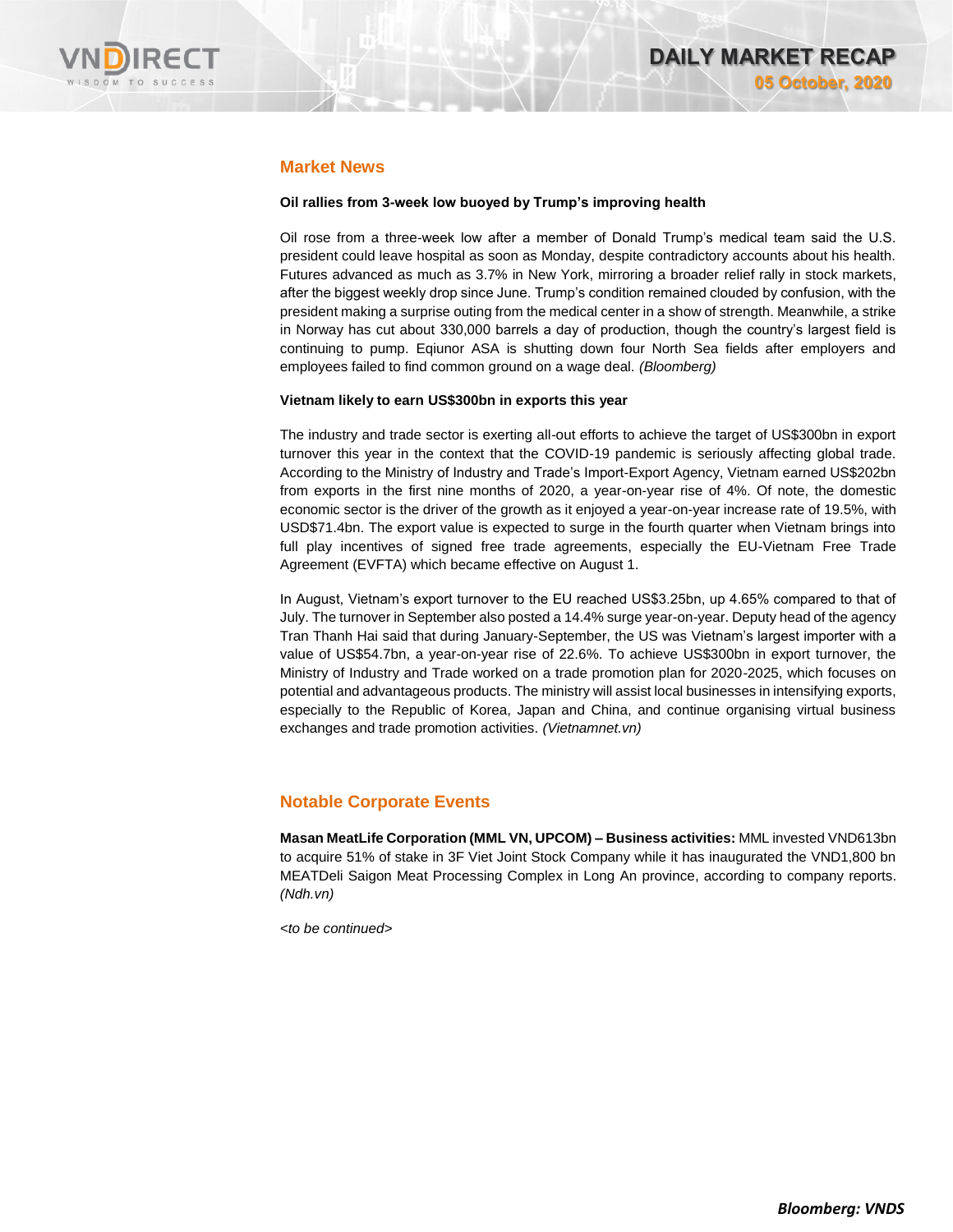

# **Market News**

### **Oil rallies from 3-week low buoyed by Trump's improving health**

Oil rose from a three-week low after a member of Donald Trump's medical team said the U.S. president could leave hospital as soon as Monday, despite contradictory accounts about his health. Futures advanced as much as 3.7% in New York, mirroring a broader relief rally in stock markets, after the biggest weekly drop since June. Trump's condition remained clouded by confusion, with the president making a surprise outing from the medical center in a show of strength. Meanwhile, a strike in Norway has cut about 330,000 barrels a day of production, though the country's largest field is continuing to pump. Eqiunor ASA is shutting down four North Sea fields after employers and employees failed to find common ground on a wage deal. *(Bloomberg)*

### **Vietnam likely to earn US\$300bn in exports this year**

The industry and trade sector is exerting all-out efforts to achieve the target of US\$300bn in export turnover this year in the context that the COVID-19 pandemic is seriously affecting global trade. According to the Ministry of Industry and Trade's Import-Export Agency, Vietnam earned US\$202bn from exports in the first nine months of 2020, a year-on-year rise of 4%. Of note, the domestic economic sector is the driver of the growth as it enjoyed a year-on-year increase rate of 19.5%, with USD\$71.4bn. The export value is expected to surge in the fourth quarter when Vietnam brings into full play incentives of signed free trade agreements, especially the EU-Vietnam Free Trade Agreement (EVFTA) which became effective on August 1.

In August, Vietnam's export turnover to the EU reached US\$3.25bn, up 4.65% compared to that of July. The turnover in September also posted a 14.4% surge year-on-year. Deputy head of the agency Tran Thanh Hai said that during January-September, the US was Vietnam's largest importer with a value of US\$54.7bn, a year-on-year rise of 22.6%. To achieve US\$300bn in export turnover, the Ministry of Industry and Trade worked on a trade promotion plan for 2020-2025, which focuses on potential and advantageous products. The ministry will assist local businesses in intensifying exports, especially to the Republic of Korea, Japan and China, and continue organising virtual business exchanges and trade promotion activities. *(Vietnamnet.vn)*

### **Notable Corporate Events**

**Masan MeatLife Corporation (MML VN, UPCOM) – Business activities:** MML invested VND613bn to acquire 51% of stake in 3F Viet Joint Stock Company while it has inaugurated the VND1,800 bn MEATDeli Saigon Meat Processing Complex in Long An province, according to company reports. *(Ndh.vn)*

*<to be continued>*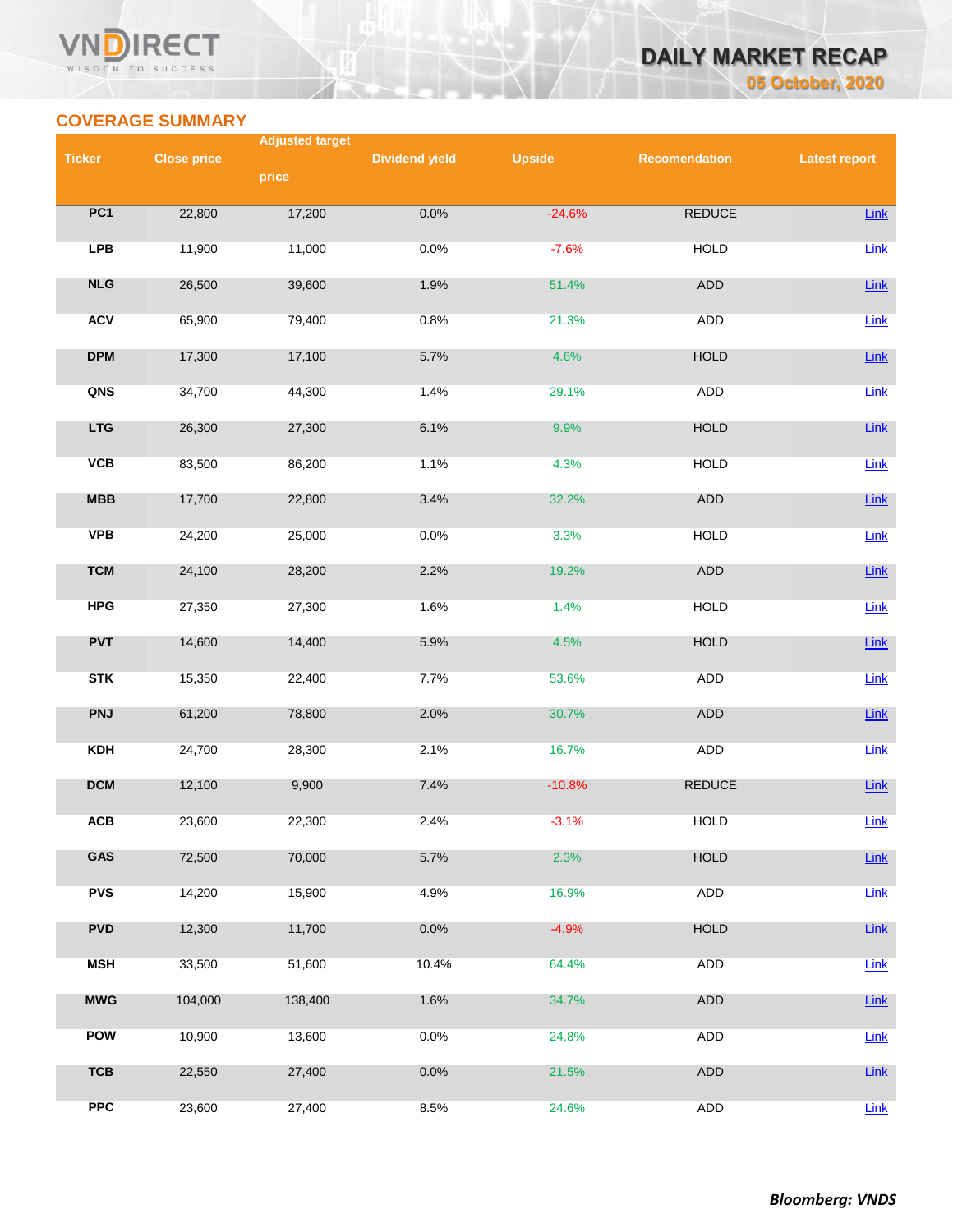### VND **RECT** WISDOM TO SUCCESS



# **COVERAGE SUMMARY**

|               |                    | <b>Adjusted target</b> |                       |               |                      |                      |
|---------------|--------------------|------------------------|-----------------------|---------------|----------------------|----------------------|
| <b>Ticker</b> | <b>Close price</b> |                        | <b>Dividend yield</b> | <b>Upside</b> | <b>Recomendation</b> | <b>Latest report</b> |
|               |                    | price                  |                       |               |                      |                      |
| PC1           | 22,800             | 17,200                 | 0.0%                  | $-24.6%$      | <b>REDUCE</b>        | Link                 |
| <b>LPB</b>    | 11,900             | 11,000                 | 0.0%                  | $-7.6%$       | <b>HOLD</b>          | Link                 |
| NLG           | 26,500             | 39,600                 | 1.9%                  | 51.4%         | ADD                  | Link                 |
| <b>ACV</b>    | 65,900             | 79,400                 | 0.8%                  | 21.3%         | <b>ADD</b>           | Link                 |
| <b>DPM</b>    | 17,300             | 17,100                 | 5.7%                  | 4.6%          | <b>HOLD</b>          | Link                 |
| QNS           | 34,700             | 44,300                 | 1.4%                  | 29.1%         | ADD                  | $Link$               |
| <b>LTG</b>    | 26,300             | 27,300                 | 6.1%                  | 9.9%          | <b>HOLD</b>          | Link                 |
| <b>VCB</b>    | 83,500             | 86,200                 | 1.1%                  | 4.3%          | <b>HOLD</b>          | Link                 |
| <b>MBB</b>    | 17,700             | 22,800                 | 3.4%                  | 32.2%         | ADD                  | $Link$               |
| <b>VPB</b>    | 24,200             | 25,000                 | 0.0%                  | 3.3%          | <b>HOLD</b>          | Link                 |
| <b>TCM</b>    | 24,100             | 28,200                 | 2.2%                  | 19.2%         | ADD                  | Link                 |
| <b>HPG</b>    | 27,350             | 27,300                 | 1.6%                  | 1.4%          | <b>HOLD</b>          | Link                 |
| <b>PVT</b>    | 14,600             | 14,400                 | 5.9%                  | 4.5%          | <b>HOLD</b>          | Link                 |
| <b>STK</b>    | 15,350             | 22,400                 | 7.7%                  | 53.6%         | ADD                  | Link                 |
| <b>PNJ</b>    | 61,200             | 78,800                 | 2.0%                  | 30.7%         | ADD                  | Link                 |
| <b>KDH</b>    | 24,700             | 28,300                 | 2.1%                  | 16.7%         | ADD                  | Link                 |
| <b>DCM</b>    | 12,100             | 9,900                  | 7.4%                  | $-10.8%$      | <b>REDUCE</b>        | Link                 |
| ACB           | 23,600             | 22,300                 | 2.4%                  | $-3.1%$       | <b>HOLD</b>          | $Link$               |
| GAS           | 72,500             | 70,000                 | 5.7%                  | 2.3%          | <b>HOLD</b>          | Link                 |
| <b>PVS</b>    | 14,200             | 15,900                 | 4.9%                  | 16.9%         | ADD                  | Link                 |
| <b>PVD</b>    | 12,300             | 11,700                 | 0.0%                  | $-4.9%$       | <b>HOLD</b>          | $Link$               |
| <b>MSH</b>    | 33,500             | 51,600                 | 10.4%                 | 64.4%         | <b>ADD</b>           | Link                 |
| <b>MWG</b>    | 104,000            | 138,400                | 1.6%                  | 34.7%         | ADD                  | Link                 |
| POW           | 10,900             | 13,600                 | 0.0%                  | 24.8%         | ADD                  | $Link$               |
| <b>TCB</b>    | 22,550             | 27,400                 | 0.0%                  | 21.5%         | ADD                  | $Link$               |
| <b>PPC</b>    | 23,600             | 27,400                 | 8.5%                  | 24.6%         | ADD                  | Link                 |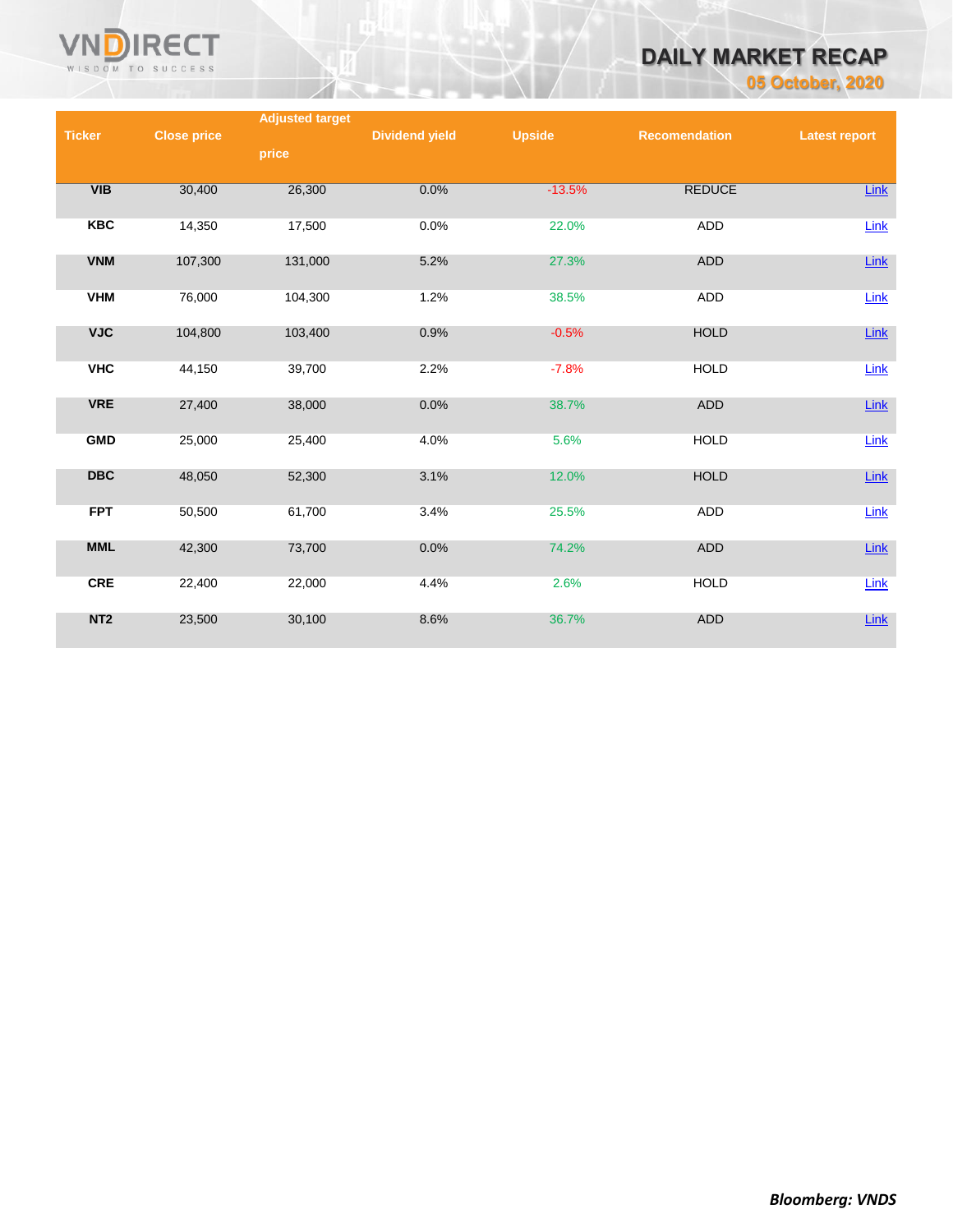

# *DAILY MARKET RECAP*

*05 October, 2020*

|                 |                    | <b>Adjusted target</b> |                       |               |                      |                      |
|-----------------|--------------------|------------------------|-----------------------|---------------|----------------------|----------------------|
| <b>Ticker</b>   | <b>Close price</b> |                        | <b>Dividend yield</b> | <b>Upside</b> | <b>Recomendation</b> | <b>Latest report</b> |
|                 |                    | price                  |                       |               |                      |                      |
|                 |                    |                        |                       |               |                      |                      |
| VIB             | 30,400             | 26,300                 | 0.0%                  | $-13.5%$      | <b>REDUCE</b>        | Link                 |
|                 |                    |                        |                       |               |                      |                      |
| <b>KBC</b>      | 14,350             | 17,500                 | 0.0%                  | 22.0%         | <b>ADD</b>           | Link                 |
|                 |                    |                        |                       |               |                      |                      |
| <b>VNM</b>      | 107,300            | 131,000                | 5.2%                  | 27.3%         | <b>ADD</b>           | $Link$               |
|                 |                    |                        |                       |               |                      |                      |
| <b>VHM</b>      | 76,000             | 104,300                | 1.2%                  | 38.5%         | <b>ADD</b>           | Link                 |
|                 |                    |                        |                       |               |                      |                      |
| <b>VJC</b>      | 104,800            | 103,400                | 0.9%                  | $-0.5%$       | <b>HOLD</b>          | Link                 |
|                 |                    |                        |                       |               |                      |                      |
| <b>VHC</b>      | 44,150             | 39,700                 | 2.2%                  | $-7.8%$       | <b>HOLD</b>          | Link                 |
|                 |                    |                        |                       |               |                      |                      |
| <b>VRE</b>      | 27,400             | 38,000                 | 0.0%                  | 38.7%         | <b>ADD</b>           | $Link$               |
| <b>GMD</b>      | 25,000             | 25,400                 | 4.0%                  | 5.6%          | <b>HOLD</b>          |                      |
|                 |                    |                        |                       |               |                      | Link                 |
| <b>DBC</b>      | 48,050             | 52,300                 | 3.1%                  | 12.0%         | <b>HOLD</b>          | Link                 |
|                 |                    |                        |                       |               |                      |                      |
| <b>FPT</b>      | 50,500             | 61,700                 | 3.4%                  | 25.5%         | <b>ADD</b>           | Link                 |
|                 |                    |                        |                       |               |                      |                      |
| <b>MML</b>      | 42,300             | 73,700                 | 0.0%                  | 74.2%         | <b>ADD</b>           | $Link$               |
|                 |                    |                        |                       |               |                      |                      |
| <b>CRE</b>      | 22,400             | 22,000                 | 4.4%                  | 2.6%          | <b>HOLD</b>          | Link                 |
|                 |                    |                        |                       |               |                      |                      |
| NT <sub>2</sub> | 23,500             | 30,100                 | 8.6%                  | 36.7%         | <b>ADD</b>           | Link                 |
|                 |                    |                        |                       |               |                      |                      |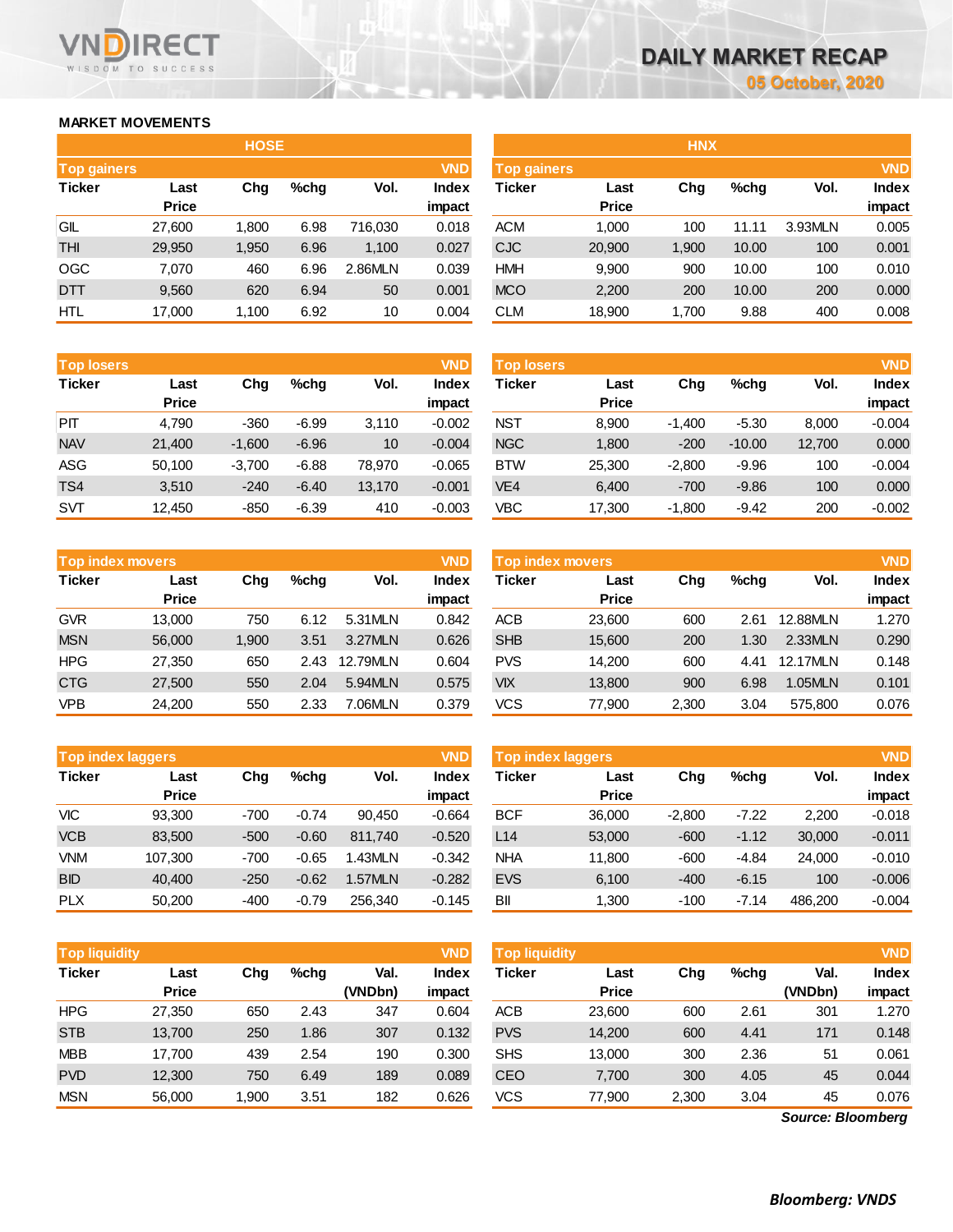### **MARKET MOVEMENTS**

WISDOM TO SUCCESS

**RECT** 

VND

|                    |              | <b>HOSE</b> |         |         |            |                    |              | <b>HNX</b> |         |         |            |
|--------------------|--------------|-------------|---------|---------|------------|--------------------|--------------|------------|---------|---------|------------|
| <b>Top gainers</b> |              |             |         |         | <b>VND</b> | <b>Top gainers</b> |              |            |         |         | <b>VND</b> |
| <b>Ticker</b>      | Last         | Chg         | $%$ chq | Vol.    | Index      | Ticker             | Last         | Chg        | $%$ chg | Vol.    | Index      |
|                    | <b>Price</b> |             |         |         | impact     |                    | <b>Price</b> |            |         |         | impact     |
| GIL                | 27,600       | 1,800       | 6.98    | 716,030 | 0.018      | <b>ACM</b>         | 1,000        | 100        | 11.11   | 3.93MLN | 0.005      |
| <b>THI</b>         | 29,950       | 1,950       | 6.96    | 1,100   | 0.027      | <b>CJC</b>         | 20,900       | 1,900      | 10.00   | 100     | 0.001      |
| <b>OGC</b>         | 7.070        | 460         | 6.96    | 2.86MLN | 0.039      | <b>HMH</b>         | 9,900        | 900        | 10.00   | 100     | 0.010      |
| <b>DTT</b>         | 9,560        | 620         | 6.94    | 50      | 0.001      | <b>MCO</b>         | 2,200        | 200        | 10.00   | 200     | 0.000      |
| <b>HTL</b>         | 17,000       | 1,100       | 6.92    | 10      | 0.004      | <b>CLM</b>         | 18,900       | 1,700      | 9.88    | 400     | 0.008      |

| <b>Top losers</b> |              |          |         |        | <b>VND</b>   |
|-------------------|--------------|----------|---------|--------|--------------|
| <b>Ticker</b>     | Last         | Cha      | %chq    | Vol.   | <b>Index</b> |
|                   | <b>Price</b> |          |         |        | impact       |
| PП                | 4,790        | $-360$   | $-6.99$ | 3,110  | $-0.002$     |
| <b>NAV</b>        | 21,400       | $-1,600$ | $-6.96$ | 10     | $-0.004$     |
| ASG               | 50,100       | $-3,700$ | $-6.88$ | 78.970 | $-0.065$     |
| TS4               | 3,510        | $-240$   | $-6.40$ | 13,170 | $-0.001$     |
| <b>SVT</b>        | 12,450       | $-850$   | $-6.39$ | 410    | $-0.003$     |

| <b>Top index movers</b> |              |       |      |          | <b>VND</b>   |
|-------------------------|--------------|-------|------|----------|--------------|
| <b>Ticker</b>           | Last         | Cha   | %chq | Vol.     | <b>Index</b> |
|                         | <b>Price</b> |       |      |          | impact       |
| <b>GVR</b>              | 13,000       | 750   | 6.12 | 5.31MLN  | 0.842        |
| <b>MSN</b>              | 56,000       | 1,900 | 3.51 | 3.27MLN  | 0.626        |
| <b>HPG</b>              | 27,350       | 650   | 2.43 | 12.79MLN | 0.604        |
| <b>CTG</b>              | 27,500       | 550   | 2.04 | 5.94MLN  | 0.575        |
| <b>VPB</b>              | 24,200       | 550   | 2.33 | 7.06MLN  | 0.379        |

|               | <b>Top index laggers</b> |        |         |         |              |  |  |  |  |
|---------------|--------------------------|--------|---------|---------|--------------|--|--|--|--|
| <b>Ticker</b> | Last                     | Cha    | %chq    | Vol.    | <b>Index</b> |  |  |  |  |
|               | <b>Price</b>             |        |         |         | impact       |  |  |  |  |
| VIC           | 93,300                   | $-700$ | $-0.74$ | 90,450  | $-0.664$     |  |  |  |  |
| <b>VCB</b>    | 83,500                   | $-500$ | $-0.60$ | 811,740 | $-0.520$     |  |  |  |  |
| <b>VNM</b>    | 107,300                  | $-700$ | $-0.65$ | 1.43MLN | $-0.342$     |  |  |  |  |
| <b>BID</b>    | 40,400                   | $-250$ | $-0.62$ | 1.57MLN | $-0.282$     |  |  |  |  |
| <b>PLX</b>    | 50,200                   | -400   | $-0.79$ | 256,340 | $-0.145$     |  |  |  |  |

| <b>Top liquidity</b> |              |       |      |         | <b>VND</b>   |
|----------------------|--------------|-------|------|---------|--------------|
| <b>Ticker</b>        | Last         | Cha   | %chq | Val.    | <b>Index</b> |
|                      | <b>Price</b> |       |      | (VNDbn) | impact       |
| <b>HPG</b>           | 27,350       | 650   | 2.43 | 347     | 0.604        |
| <b>STB</b>           | 13,700       | 250   | 1.86 | 307     | 0.132        |
| <b>MBB</b>           | 17,700       | 439   | 2.54 | 190     | 0.300        |
| <b>PVD</b>           | 12,300       | 750   | 6.49 | 189     | 0.089        |
| <b>MSN</b>           | 56,000       | 1,900 | 3.51 | 182     | 0.626        |

|              |       |         |             |              |            |              | <b>HNX</b>         |       |         |              |
|--------------|-------|---------|-------------|--------------|------------|--------------|--------------------|-------|---------|--------------|
|              |       |         |             | <b>VND</b>   |            |              |                    |       |         | <b>VND</b>   |
| Last         | Chg   | $%$ chq | Vol.        | <b>Index</b> | Ticker     | Last         | Chg                | %chg  | Vol.    | <b>Index</b> |
| <b>Price</b> |       |         |             | impact       |            | <b>Price</b> |                    |       |         | impact       |
| 27,600       | 1.800 | 6.98    | 716,030     | 0.018        | <b>ACM</b> | 1.000        | 100                | 11.11 | 3.93MLN | 0.005        |
| 29,950       | 1,950 | 6.96    | 1,100       | 0.027        | <b>CJC</b> | 20,900       | 1,900              | 10.00 | 100     | 0.001        |
| 7.070        | 460   | 6.96    | 2.86MLN     | 0.039        | <b>HMH</b> | 9.900        | 900                | 10.00 | 100     | 0.010        |
| 9,560        | 620   | 6.94    | 50          | 0.001        | <b>MCO</b> | 2,200        | 200                | 10.00 | 200     | 0.000        |
| 17,000       | 1,100 | 6.92    | 10          | 0.004        | <b>CLM</b> | 18,900       | 1,700              | 9.88  | 400     | 0.008        |
|              |       |         | <b>HOSE</b> |              |            |              | <b>Top gainers</b> |       |         |              |

| <b>Top losers</b> |                      |          |         |        | VND                    | <b>Top losers</b> |                      |          |          |        | <b>VND</b>             |
|-------------------|----------------------|----------|---------|--------|------------------------|-------------------|----------------------|----------|----------|--------|------------------------|
| Ticker            | Last<br><b>Price</b> | Chg      | $%$ chq | Vol.   | <b>Index</b><br>impact | Ticker            | Last<br><b>Price</b> | Chg      | %chq     | Vol.   | <b>Index</b><br>impact |
| PΙT               | 4.790                | $-360$   | $-6.99$ | 3.110  | $-0.002$               | <b>NST</b>        | 8.900                | $-1.400$ | $-5.30$  | 8,000  | $-0.004$               |
| <b>NAV</b>        | 21,400               | $-1.600$ | $-6.96$ | 10     | $-0.004$               | <b>NGC</b>        | 1,800                | $-200$   | $-10.00$ | 12,700 | 0.000                  |
| ASG               | 50,100               | $-3,700$ | $-6.88$ | 78,970 | $-0.065$               | <b>BTW</b>        | 25,300               | $-2,800$ | $-9.96$  | 100    | $-0.004$               |
| TS4               | 3.510                | $-240$   | $-6.40$ | 13,170 | $-0.001$               | VE <sub>4</sub>   | 6.400                | $-700$   | $-9.86$  | 100    | 0.000                  |
| SVT               | 12,450               | -850     | $-6.39$ | 410    | $-0.003$               | VBC               | 17,300               | $-1,800$ | $-9.42$  | 200    | $-0.002$               |

| Top index movers |                             |       |         |          | VND                    | Top index movers |                      |       |      |          |        |
|------------------|-----------------------------|-------|---------|----------|------------------------|------------------|----------------------|-------|------|----------|--------|
| Ticker           | Chg<br>Last<br><b>Price</b> |       | $%$ chq | Vol.     | <b>Index</b><br>impact | Ticker           | Last<br><b>Price</b> | Chg   | %chq | Vol.     | impact |
| <b>GVR</b>       | 13.000                      | 750   | 6.12    | 5.31MLN  | 0.842                  | <b>ACB</b>       | 23,600               | 600   | 2.61 | 12.88MLN |        |
| <b>MSN</b>       | 56,000                      | 1.900 | 3.51    | 3.27MLN  | 0.626                  | <b>SHB</b>       | 15,600               | 200   | 1.30 | 2.33MLN  |        |
| HPG              | 27,350                      | 650   | 2.43    | 12.79MLN | 0.604                  | <b>PVS</b>       | 14.200               | 600   | 4.41 | 12.17MLN |        |
| <b>CTG</b>       | 27,500                      | 550   | 2.04    | 5.94MLN  | 0.575                  | <b>VIX</b>       | 13.800               | 900   | 6.98 | 1.05MLN  |        |
| VPB              | 24,200                      | 550   | 2.33    | 7.06MLN  | 0.379                  | vcs              | 77,900               | 2,300 | 3.04 | 575.800  |        |

| <b>Top index laggers</b> |                      |        |         |         | <b>VND</b>      | <b>VND</b><br><b>Top index laggers</b> |                      |          |         |         |                 |  |
|--------------------------|----------------------|--------|---------|---------|-----------------|----------------------------------------|----------------------|----------|---------|---------|-----------------|--|
| Ticker                   | Last<br><b>Price</b> | Chg    | $%$ chq | Vol.    | Index<br>impact | Ticker                                 | Last<br><b>Price</b> | Chg      | %chq    | Vol.    | Index<br>impact |  |
| VIC                      | 93,300               | $-700$ | $-0.74$ | 90.450  | $-0.664$        | <b>BCF</b>                             | 36.000               | $-2.800$ | $-7.22$ | 2.200   | $-0.018$        |  |
| <b>VCB</b>               | 83,500               | $-500$ | $-0.60$ | 811.740 | $-0.520$        | L14                                    | 53,000               | $-600$   | $-1.12$ | 30,000  | $-0.011$        |  |
| VNM                      | 107.300              | $-700$ | $-0.65$ | 1.43MLN | $-0.342$        | <b>NHA</b>                             | 11,800               | $-600$   | $-4.84$ | 24.000  | $-0.010$        |  |
| <b>BID</b>               | 40,400               | $-250$ | $-0.62$ | .57MLN  | $-0.282$        | <b>EVS</b>                             | 6,100                | $-400$   | $-6.15$ | 100     | $-0.006$        |  |
| <b>PLX</b>               | 50,200               | $-400$ | $-0.79$ | 256.340 | $-0.145$        | BII                                    | 1.300                | $-100$   | $-7.14$ | 486.200 | $-0.004$        |  |

| Top liquidity <sup>1</sup> |                      |      |         |                 | VND                    | Top liquidity <sup>1</sup> |                      |       |      |                 | <b>VND</b>      |
|----------------------------|----------------------|------|---------|-----------------|------------------------|----------------------------|----------------------|-------|------|-----------------|-----------------|
| Ticker                     | Last<br><b>Price</b> | Chg  | $%$ chq | Val.<br>(VNDbn) | <b>Index</b><br>impact | Ticker                     | Last<br><b>Price</b> | Chg   | %chg | Val.<br>(VNDbn) | Index<br>impact |
| HPG                        | 27,350               | 650  | 2.43    | 347             | 0.604                  | <b>ACB</b>                 | 23,600               | 600   | 2.61 | 301             | 1.270           |
| <b>STB</b>                 | 13,700               | 250  | 1.86    | 307             | 0.132                  | <b>PVS</b>                 | 14,200               | 600   | 4.41 | 171             | 0.148           |
| MBB                        | 17.700               | 439  | 2.54    | 190             | 0.300                  | <b>SHS</b>                 | 13,000               | 300   | 2.36 | 51              | 0.061           |
| <b>PVD</b>                 | 12,300               | 750  | 6.49    | 189             | 0.089                  | CEO                        | 7.700                | 300   | 4.05 | 45              | 0.044           |
| <b>MSN</b>                 | 56,000               | .900 | 3.51    | 182             | 0.626                  | vcs                        | 77,900               | 2,300 | 3.04 | 45              | 0.076           |
|                            |                      |      |         |                 |                        |                            |                      |       |      |                 |                 |

*Source: Bloomberg*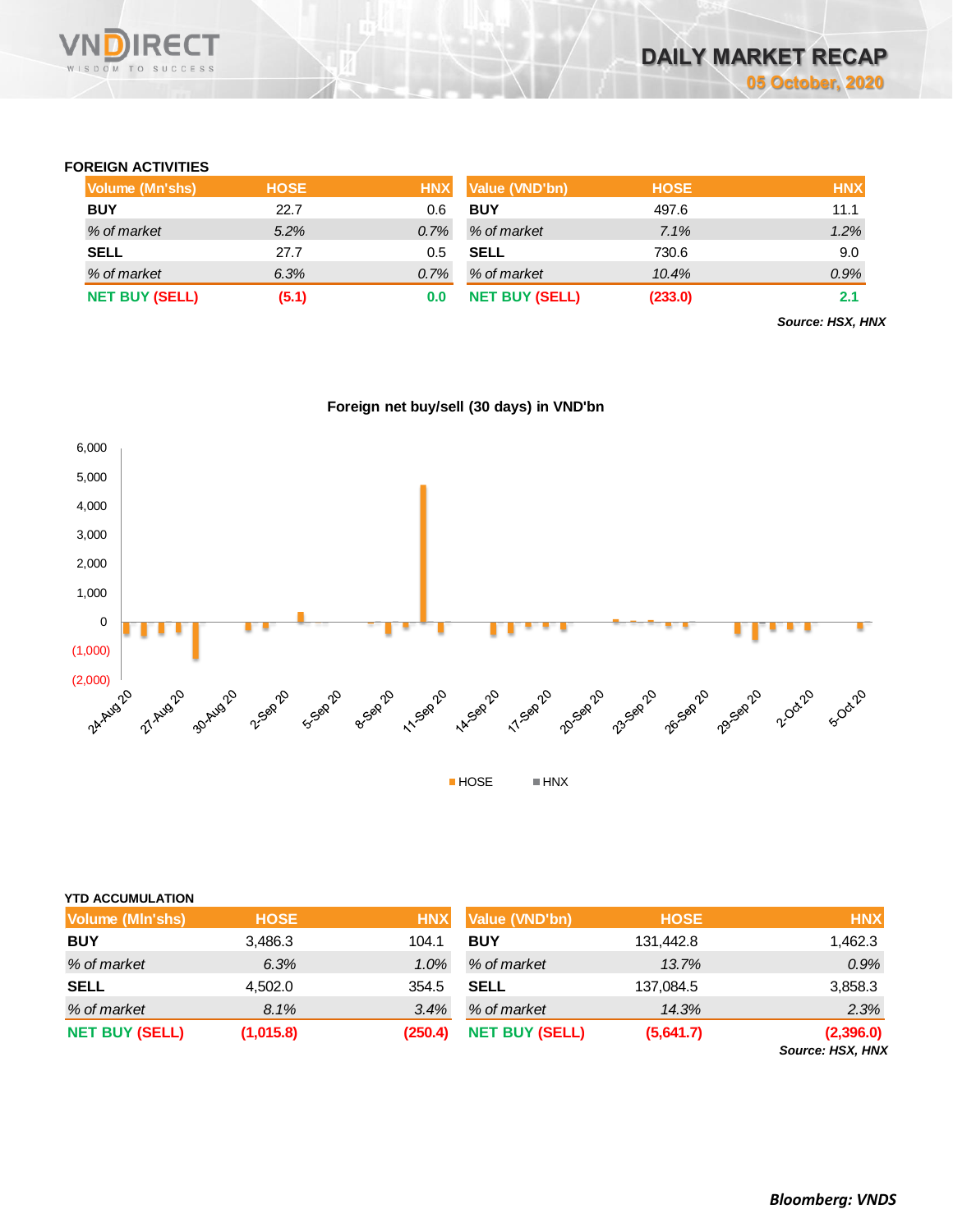

### **FOREIGN ACTIVITIES**

| Volume (Mn'shs)       | <b>HOSE</b> | <b>HNX</b> | Value (VND'bn)        | <b>HOSE</b> | <b>HNX</b> |
|-----------------------|-------------|------------|-----------------------|-------------|------------|
| <b>BUY</b>            | 22.7        | 0.6        | <b>BUY</b>            | 497.6       | 11.1       |
| % of market           | 5.2%        | 0.7%       | % of market           | 7.1%        | 1.2%       |
| <b>SELL</b>           | 27.7        | 0.5        | <b>SELL</b>           | 730.6       | 9.0        |
| % of market           | 6.3%        | 0.7%       | % of market           | 10.4%       | 0.9%       |
| <b>NET BUY (SELL)</b> | (5.1)       | 0.0        | <b>NET BUY (SELL)</b> | (233.0)     | 2.1        |

*Source: HSX, HNX*





| <b>NET BUY (SELL)</b>   | (1,015.8)   | (250.4)    | <b>NET BUY (SELL)</b> | (5,641.7)   | (2,396.0)<br>Source: HSX, HNX |
|-------------------------|-------------|------------|-----------------------|-------------|-------------------------------|
| % of market             | 8.1%        | 3.4%       | % of market           | 14.3%       | 2.3%                          |
| <b>SELL</b>             | 4,502.0     | 354.5      | <b>SELL</b>           | 137,084.5   | 3,858.3                       |
| % of market             | 6.3%        | $1.0\%$    | % of market           | 13.7%       | 0.9%                          |
| <b>BUY</b>              | 3,486.3     | 104.1      | <b>BUY</b>            | 131,442.8   | 1,462.3                       |
| Volume (MIn'shs)        | <b>HOSE</b> | <b>HNX</b> | Value (VND'bn)        | <b>HOSE</b> | <b>HNX</b>                    |
| <b>YTD ACCUMULATION</b> |             |            |                       |             |                               |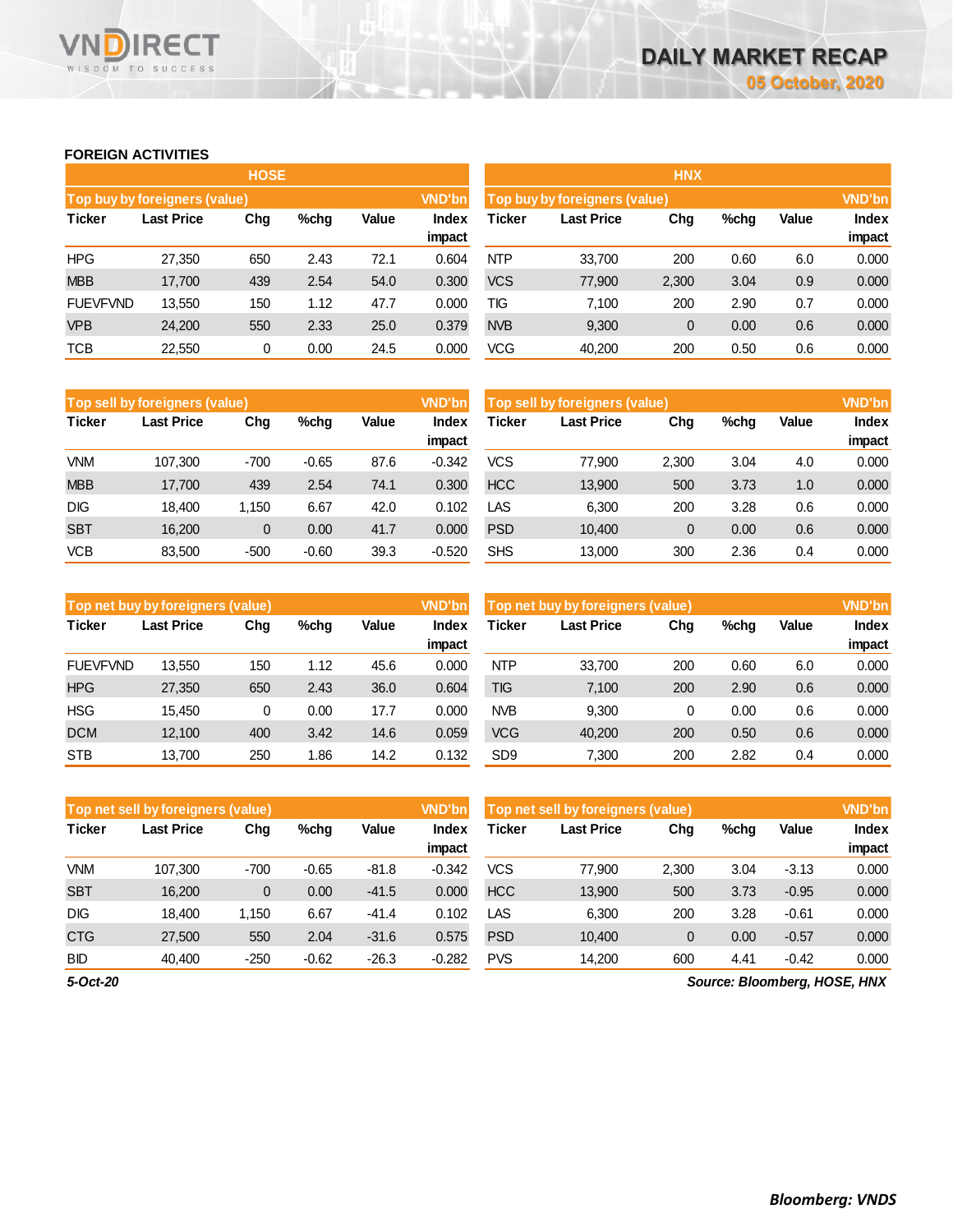# **FOREIGN ACTIVITIES**

WISDOM TO SUCCESS

**IRECT** 

VND

|                 |                                           | <b>HOSE</b> |      |      |               | <b>HNX</b>                    |                   |               |      |       |              |  |
|-----------------|-------------------------------------------|-------------|------|------|---------------|-------------------------------|-------------------|---------------|------|-------|--------------|--|
|                 | Top buy by foreigners (value)             |             |      |      | <b>VND'bn</b> | Top buy by foreigners (value) |                   | <b>VND'bn</b> |      |       |              |  |
| <b>Ticker</b>   | Value<br><b>Last Price</b><br>Chg<br>%chq |             |      |      | Index         | Ticker                        | <b>Last Price</b> | Chg           | %chg | Value | <b>Index</b> |  |
|                 |                                           |             |      |      | impact        |                               |                   |               |      |       | impact       |  |
| <b>HPG</b>      | 27,350                                    | 650         | 2.43 | 72.1 | 0.604         | <b>NTP</b>                    | 33,700            | 200           | 0.60 | 6.0   | 0.000        |  |
| <b>MBB</b>      | 17,700                                    | 439         | 2.54 | 54.0 | 0.300         | <b>VCS</b>                    | 77,900            | 2,300         | 3.04 | 0.9   | 0.000        |  |
| <b>FUEVFVND</b> | 13,550                                    | 150         | 1.12 | 47.7 | 0.000         | ТIG                           | 7,100             | 200           | 2.90 | 0.7   | 0.000        |  |
| <b>VPB</b>      | 24,200                                    | 550         | 2.33 | 25.0 | 0.379         | <b>NVB</b>                    | 9,300             | 0             | 0.00 | 0.6   | 0.000        |  |
| <b>TCB</b>      | 22,550                                    | 0           | 0.00 | 24.5 | 0.000         | <b>VCG</b>                    | 40,200            | 200           | 0.50 | 0.6   | 0.000        |  |

|               | Top sell by foreigners (value) |        |         |       | <b>VND'bn</b>   | Top sell by foreigners (value) |                   |       |      |       |                        |
|---------------|--------------------------------|--------|---------|-------|-----------------|--------------------------------|-------------------|-------|------|-------|------------------------|
| <b>Ticker</b> | <b>Last Price</b>              | Chg    | %chq    | Value | Index<br>impact | Ticker                         | <b>Last Price</b> | Chg   | %chg | Value | <b>Index</b><br>impact |
| <b>VNM</b>    | 107.300                        | $-700$ | $-0.65$ | 87.6  | $-0.342$        | <b>VCS</b>                     | 77,900            | 2.300 | 3.04 | 4.0   | 0.000                  |
| <b>MBB</b>    | 17.700                         | 439    | 2.54    | 74.1  | 0.300           | <b>HCC</b>                     | 13,900            | 500   | 3.73 | 1.0   | 0.000                  |
| <b>DIG</b>    | 18.400                         | 1.150  | 6.67    | 42.0  | 0.102           | LAS                            | 6.300             | 200   | 3.28 | 0.6   | 0.000                  |
| <b>SBT</b>    | 16.200                         | 0      | 0.00    | 41.7  | 0.000           | <b>PSD</b>                     | 10,400            | 0     | 0.00 | 0.6   | 0.000                  |
| <b>VCB</b>    | 83.500                         | $-500$ | $-0.60$ | 39.3  | $-0.520$        | <b>SHS</b>                     | 13.000            | 300   | 2.36 | 0.4   | 0.000                  |

|                 | Top net buy by foreigners (value) |     |      |       | <b>VND'bn</b> | Top net buy by foreigners (value) |                   |     |      |       | <b>VND'bn</b> |
|-----------------|-----------------------------------|-----|------|-------|---------------|-----------------------------------|-------------------|-----|------|-------|---------------|
| <b>Ticker</b>   | <b>Last Price</b>                 | Chg | %chq | Value | Index         | Ticker                            | <b>Last Price</b> | Chg | %chg | Value | Index         |
|                 |                                   |     |      |       | impact        |                                   |                   |     |      |       | impact        |
| <b>FUEVFVND</b> | 13,550                            | 150 | 1.12 | 45.6  | 0.000         | <b>NTP</b>                        | 33.700            | 200 | 0.60 | 6.0   | 0.000         |
| <b>HPG</b>      | 27,350                            | 650 | 2.43 | 36.0  | 0.604         | <b>TIG</b>                        | 7.100             | 200 | 2.90 | 0.6   | 0.000         |
| <b>HSG</b>      | 15.450                            | 0   | 0.00 | 17.7  | 0.000         | <b>NVB</b>                        | 9.300             | 0   | 0.00 | 0.6   | 0.000         |
| <b>DCM</b>      | 12.100                            | 400 | 3.42 | 14.6  | 0.059         | <b>VCG</b>                        | 40,200            | 200 | 0.50 | 0.6   | 0.000         |
| <b>STB</b>      | 13.700                            | 250 | 1.86 | 14.2  | 0.132         | SD <sub>9</sub>                   | 7.300             | 200 | 2.82 | 0.4   | 0.000         |

|               | <b>VND'bn</b><br>Top net sell by foreigners (value) |              |         |         |                 |            | Top net sell by foreigners (value) |              |      |              |                              |  |
|---------------|-----------------------------------------------------|--------------|---------|---------|-----------------|------------|------------------------------------|--------------|------|--------------|------------------------------|--|
| <b>Ticker</b> | <b>Last Price</b>                                   | Chg          | %chq    | Value   | Index<br>impact | Гісker     | <b>Last Price</b>                  | Chg          | %chg | <b>Value</b> | <b>Index</b><br>impact       |  |
| <b>VNM</b>    | 107.300                                             | $-700$       | $-0.65$ | $-81.8$ | $-0.342$        | <b>VCS</b> | 77,900                             | 2.300        | 3.04 | $-3.13$      | 0.000                        |  |
| <b>SBT</b>    | 16.200                                              | $\mathbf{0}$ | 0.00    | $-41.5$ | 0.000           | <b>HCC</b> | 13,900                             | 500          | 3.73 | $-0.95$      | 0.000                        |  |
| <b>DIG</b>    | 18.400                                              | 1.150        | 6.67    | $-41.4$ | 0.102           | LAS        | 6.300                              | 200          | 3.28 | $-0.61$      | 0.000                        |  |
| <b>CTG</b>    | 27,500                                              | 550          | 2.04    | $-31.6$ | 0.575           | <b>PSD</b> | 10.400                             | $\mathbf{0}$ | 0.00 | $-0.57$      | 0.000                        |  |
| <b>BID</b>    | 40.400                                              | $-250$       | $-0.62$ | $-26.3$ | $-0.282$        | <b>PVS</b> | 14.200                             | 600          | 4.41 | $-0.42$      | 0.000                        |  |
| 5-Oct-20      |                                                     |              |         |         |                 |            |                                    |              |      |              | Source: Bloomberg, HOSE, HNX |  |

*Source: Bloomberg, HOSE, HNX*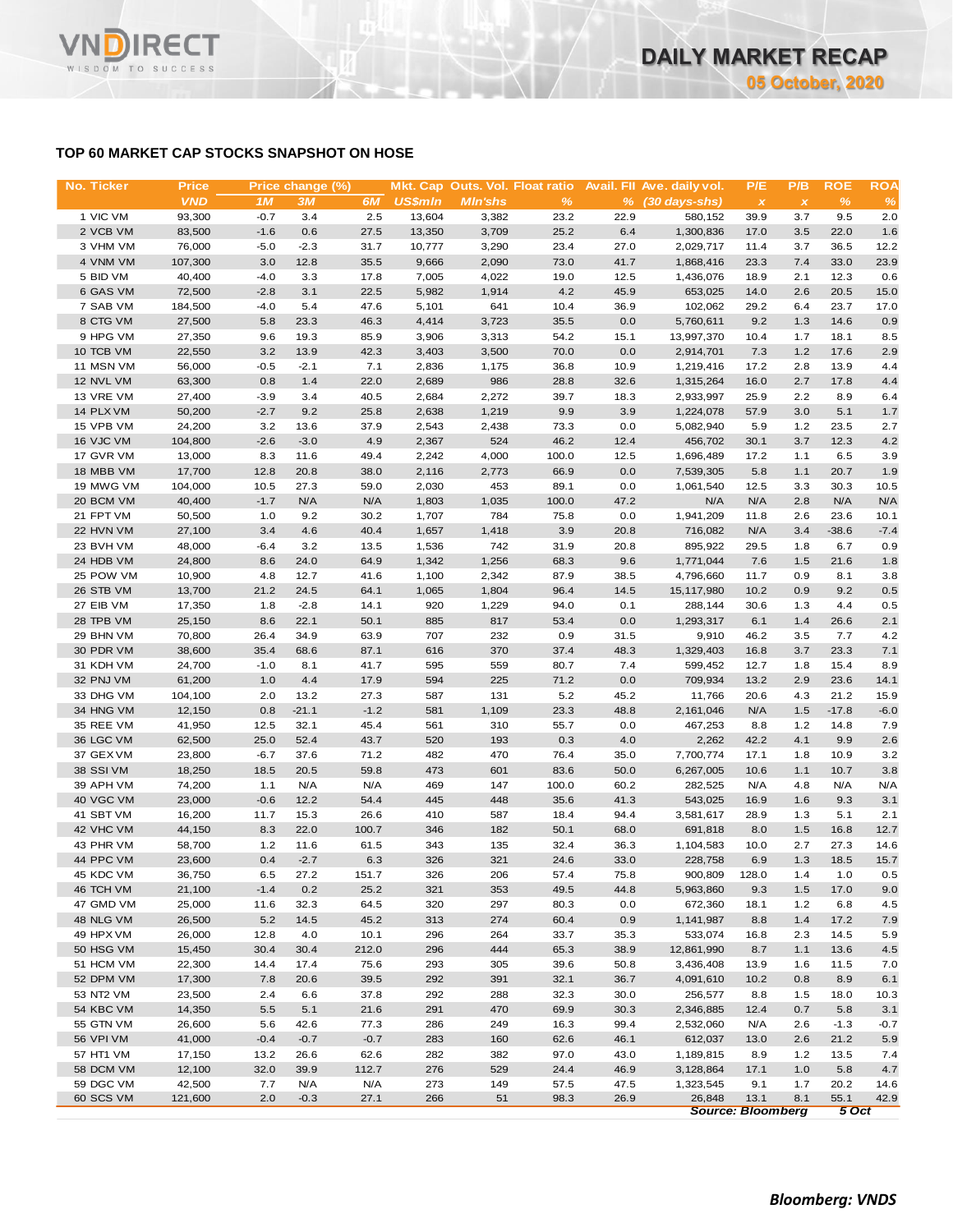### **TOP 60 MARKET CAP STOCKS SNAPSHOT ON HOSE**

| No. Ticker | <b>Price</b> |        | Price change (%) |        |                |                |               |      | Mkt. Cap Outs. Vol. Float ratio Avail. Fll Ave. daily vol. | P/E                       | P/B          | <b>ROE</b> | <b>ROA</b> |
|------------|--------------|--------|------------------|--------|----------------|----------------|---------------|------|------------------------------------------------------------|---------------------------|--------------|------------|------------|
|            | <b>VND</b>   | 1M     | 3M               | 6M     | <b>US\$mln</b> | <b>MIn'shs</b> | $\frac{9}{6}$ |      | $%$ (30 days-shs)                                          | $\boldsymbol{\mathsf{x}}$ | $\pmb{\chi}$ | %          | %          |
| 1 VIC VM   | 93,300       | $-0.7$ | 3.4              | 2.5    | 13,604         | 3,382          | 23.2          | 22.9 | 580,152                                                    | 39.9                      | 3.7          | 9.5        | 2.0        |
| 2 VCB VM   | 83,500       | $-1.6$ | 0.6              | 27.5   | 13,350         | 3,709          | 25.2          | 6.4  | 1,300,836                                                  | 17.0                      | 3.5          | 22.0       | 1.6        |
| 3 VHM VM   | 76,000       | $-5.0$ | $-2.3$           | 31.7   | 10,777         | 3,290          | 23.4          | 27.0 | 2,029,717                                                  | 11.4                      | 3.7          | 36.5       | 12.2       |
| 4 VNM VM   | 107,300      | 3.0    | 12.8             | 35.5   | 9,666          | 2,090          | 73.0          | 41.7 | 1,868,416                                                  | 23.3                      | 7.4          | 33.0       | 23.9       |
| 5 BID VM   | 40,400       | $-4.0$ | 3.3              | 17.8   | 7,005          | 4,022          | 19.0          | 12.5 | 1,436,076                                                  | 18.9                      | 2.1          | 12.3       | 0.6        |
| 6 GAS VM   | 72,500       | $-2.8$ | 3.1              | 22.5   | 5,982          | 1,914          | 4.2           | 45.9 | 653,025                                                    | 14.0                      | 2.6          | 20.5       | 15.0       |
| 7 SAB VM   | 184,500      | $-4.0$ | 5.4              | 47.6   | 5,101          | 641            | 10.4          | 36.9 | 102,062                                                    | 29.2                      | 6.4          | 23.7       | 17.0       |
| 8 CTG VM   | 27,500       | 5.8    | 23.3             | 46.3   | 4,414          | 3,723          | 35.5          | 0.0  | 5,760,611                                                  | 9.2                       | 1.3          | 14.6       | 0.9        |
| 9 HPG VM   | 27,350       | 9.6    | 19.3             | 85.9   | 3,906          | 3,313          | 54.2          | 15.1 | 13,997,370                                                 | 10.4                      | 1.7          | 18.1       | 8.5        |
| 10 TCB VM  | 22,550       | 3.2    | 13.9             | 42.3   | 3,403          | 3,500          | 70.0          | 0.0  | 2,914,701                                                  | 7.3                       | 1.2          | 17.6       | 2.9        |
| 11 MSN VM  | 56,000       | $-0.5$ | $-2.1$           | 7.1    | 2,836          | 1,175          | 36.8          | 10.9 | 1,219,416                                                  | 17.2                      | 2.8          | 13.9       | 4.4        |
| 12 NVL VM  | 63,300       | 0.8    | 1.4              | 22.0   | 2,689          | 986            | 28.8          | 32.6 | 1,315,264                                                  | 16.0                      | 2.7          | 17.8       | 4.4        |
| 13 VRE VM  | 27,400       | $-3.9$ | 3.4              | 40.5   | 2,684          | 2,272          | 39.7          | 18.3 | 2,933,997                                                  | 25.9                      | 2.2          | 8.9        | 6.4        |
| 14 PLX VM  | 50,200       | $-2.7$ | 9.2              | 25.8   | 2,638          | 1,219          | 9.9           | 3.9  | 1,224,078                                                  | 57.9                      | 3.0          | 5.1        | 1.7        |
|            |              |        |                  |        |                |                |               |      |                                                            |                           |              |            |            |
| 15 VPB VM  | 24,200       | 3.2    | 13.6             | 37.9   | 2,543          | 2,438          | 73.3          | 0.0  | 5,082,940                                                  | 5.9                       | 1.2          | 23.5       | 2.7        |
| 16 VJC VM  | 104,800      | $-2.6$ | $-3.0$           | 4.9    | 2,367          | 524            | 46.2          | 12.4 | 456,702                                                    | 30.1                      | 3.7          | 12.3       | 4.2        |
| 17 GVR VM  | 13,000       | 8.3    | 11.6             | 49.4   | 2,242          | 4,000          | 100.0         | 12.5 | 1,696,489                                                  | 17.2                      | 1.1          | 6.5        | 3.9        |
| 18 MBB VM  | 17,700       | 12.8   | 20.8             | 38.0   | 2,116          | 2,773          | 66.9          | 0.0  | 7,539,305                                                  | 5.8                       | 1.1          | 20.7       | 1.9        |
| 19 MWG VM  | 104,000      | 10.5   | 27.3             | 59.0   | 2,030          | 453            | 89.1          | 0.0  | 1,061,540                                                  | 12.5                      | 3.3          | 30.3       | 10.5       |
| 20 BCM VM  | 40,400       | $-1.7$ | N/A              | N/A    | 1,803          | 1,035          | 100.0         | 47.2 | N/A                                                        | N/A                       | 2.8          | N/A        | N/A        |
| 21 FPT VM  | 50,500       | 1.0    | 9.2              | 30.2   | 1,707          | 784            | 75.8          | 0.0  | 1,941,209                                                  | 11.8                      | 2.6          | 23.6       | 10.1       |
| 22 HVN VM  | 27,100       | 3.4    | 4.6              | 40.4   | 1,657          | 1,418          | 3.9           | 20.8 | 716,082                                                    | N/A                       | 3.4          | $-38.6$    | $-7.4$     |
| 23 BVH VM  | 48,000       | $-6.4$ | 3.2              | 13.5   | 1,536          | 742            | 31.9          | 20.8 | 895,922                                                    | 29.5                      | 1.8          | 6.7        | 0.9        |
| 24 HDB VM  | 24,800       | 8.6    | 24.0             | 64.9   | 1,342          | 1,256          | 68.3          | 9.6  | 1,771,044                                                  | 7.6                       | 1.5          | 21.6       | 1.8        |
| 25 POW VM  | 10,900       | 4.8    | 12.7             | 41.6   | 1,100          | 2,342          | 87.9          | 38.5 | 4,796,660                                                  | 11.7                      | 0.9          | 8.1        | 3.8        |
| 26 STB VM  | 13,700       | 21.2   | 24.5             | 64.1   | 1,065          | 1,804          | 96.4          | 14.5 | 15,117,980                                                 | 10.2                      | 0.9          | 9.2        | 0.5        |
| 27 EIB VM  | 17,350       | 1.8    | $-2.8$           | 14.1   | 920            | 1,229          | 94.0          | 0.1  | 288,144                                                    | 30.6                      | 1.3          | 4.4        | 0.5        |
| 28 TPB VM  | 25,150       | 8.6    | 22.1             | 50.1   | 885            | 817            | 53.4          | 0.0  | 1,293,317                                                  | 6.1                       | 1.4          | 26.6       | 2.1        |
| 29 BHN VM  | 70,800       | 26.4   | 34.9             | 63.9   | 707            | 232            | 0.9           | 31.5 | 9,910                                                      | 46.2                      | 3.5          | 7.7        | 4.2        |
| 30 PDR VM  | 38,600       | 35.4   | 68.6             | 87.1   | 616            | 370            | 37.4          | 48.3 | 1,329,403                                                  | 16.8                      | 3.7          | 23.3       | 7.1        |
| 31 KDH VM  | 24,700       | $-1.0$ | 8.1              | 41.7   | 595            | 559            | 80.7          | 7.4  | 599,452                                                    | 12.7                      | 1.8          | 15.4       | 8.9        |
| 32 PNJ VM  | 61,200       | 1.0    | 4.4              | 17.9   | 594            | 225            | 71.2          | 0.0  | 709,934                                                    | 13.2                      | 2.9          | 23.6       | 14.1       |
| 33 DHG VM  | 104,100      | 2.0    | 13.2             | 27.3   | 587            | 131            | 5.2           | 45.2 | 11,766                                                     | 20.6                      | 4.3          | 21.2       | 15.9       |
| 34 HNG VM  | 12,150       | 0.8    | $-21.1$          | $-1.2$ | 581            | 1,109          | 23.3          | 48.8 | 2,161,046                                                  | N/A                       | 1.5          | $-17.8$    | $-6.0$     |
| 35 REE VM  | 41,950       | 12.5   | 32.1             | 45.4   | 561            | 310            | 55.7          | 0.0  | 467,253                                                    | 8.8                       | 1.2          | 14.8       | 7.9        |
| 36 LGC VM  | 62,500       | 25.0   | 52.4             | 43.7   | 520            | 193            | 0.3           | 4.0  | 2,262                                                      | 42.2                      | 4.1          | 9.9        | 2.6        |
| 37 GEX VM  | 23,800       | $-6.7$ | 37.6             | 71.2   | 482            | 470            | 76.4          | 35.0 | 7,700,774                                                  | 17.1                      | 1.8          | 10.9       | 3.2        |
| 38 SSI VM  | 18,250       | 18.5   | 20.5             | 59.8   | 473            | 601            | 83.6          | 50.0 | 6,267,005                                                  | 10.6                      | 1.1          | 10.7       | 3.8        |
| 39 APH VM  | 74,200       | 1.1    | N/A              | N/A    | 469            | 147            | 100.0         | 60.2 | 282,525                                                    | N/A                       | 4.8          | N/A        | N/A        |
| 40 VGC VM  | 23,000       | $-0.6$ | 12.2             | 54.4   | 445            | 448            | 35.6          | 41.3 | 543,025                                                    | 16.9                      | 1.6          | 9.3        | 3.1        |
| 41 SBT VM  | 16,200       | 11.7   | 15.3             | 26.6   | 410            | 587            | 18.4          | 94.4 | 3,581,617                                                  | 28.9                      | 1.3          | 5.1        | 2.1        |
| 42 VHC VM  | 44,150       | 8.3    | 22.0             | 100.7  | 346            | 182            | 50.1          | 68.0 | 691,818                                                    | 8.0                       | 1.5          | 16.8       | 12.7       |
| 43 PHR VM  | 58,700       | 1.2    | 11.6             | 61.5   | 343            | 135            | 32.4          | 36.3 | 1,104,583                                                  | 10.0                      | 2.7          | 27.3       | 14.6       |
| 44 PPC VM  | 23,600       | 0.4    | $-2.7$           | 6.3    | 326            | 321            | 24.6          | 33.0 | 228,758                                                    | 6.9                       | 1.3          | 18.5       | 15.7       |
| 45 KDC VM  | 36,750       | 6.5    | 27.2             | 151.7  | 326            | 206            | 57.4          | 75.8 | 900,809                                                    | 128.0                     | 1.4          | 1.0        | 0.5        |
| 46 TCH VM  | 21,100       | $-1.4$ | 0.2              | 25.2   | 321            | 353            | 49.5          | 44.8 | 5,963,860                                                  | 9.3                       | 1.5          | 17.0       | 9.0        |
| 47 GMD VM  | 25,000       | 11.6   | 32.3             | 64.5   | 320            | 297            | 80.3          | 0.0  | 672,360                                                    | 18.1                      | 1.2          | 6.8        | 4.5        |
| 48 NLG VM  | 26,500       | 5.2    | 14.5             | 45.2   | 313            | 274            | 60.4          | 0.9  | 1,141,987                                                  | 8.8                       | 1.4          | 17.2       | 7.9        |
| 49 HPX VM  | 26,000       | 12.8   | 4.0              | 10.1   | 296            | 264            | 33.7          | 35.3 | 533,074                                                    | 16.8                      | 2.3          | 14.5       | 5.9        |
| 50 HSG VM  | 15,450       | 30.4   | 30.4             | 212.0  | 296            | 444            | 65.3          | 38.9 | 12,861,990                                                 | 8.7                       | 1.1          | 13.6       | 4.5        |
| 51 HCM VM  | 22,300       | 14.4   | 17.4             | 75.6   | 293            | 305            | 39.6          | 50.8 | 3,436,408                                                  | 13.9                      | 1.6          | 11.5       | 7.0        |
| 52 DPM VM  | 17,300       | 7.8    | 20.6             | 39.5   | 292            | 391            | 32.1          | 36.7 | 4,091,610                                                  | 10.2                      | 0.8          | 8.9        | 6.1        |
| 53 NT2 VM  | 23,500       | 2.4    | 6.6              | 37.8   | 292            | 288            | 32.3          | 30.0 | 256,577                                                    | 8.8                       | 1.5          | 18.0       | 10.3       |
| 54 KBC VM  | 14,350       | 5.5    | 5.1              | 21.6   | 291            | 470            | 69.9          | 30.3 | 2,346,885                                                  | 12.4                      | 0.7          | 5.8        | 3.1        |
| 55 GTN VM  | 26,600       | 5.6    | 42.6             | 77.3   | 286            | 249            | 16.3          | 99.4 | 2,532,060                                                  | N/A                       | 2.6          | $-1.3$     | $-0.7$     |
| 56 VPI VM  | 41,000       | $-0.4$ | $-0.7$           | $-0.7$ | 283            | 160            | 62.6          | 46.1 | 612,037                                                    | 13.0                      | 2.6          | 21.2       | 5.9        |
| 57 HT1 VM  | 17,150       | 13.2   | 26.6             | 62.6   | 282            | 382            | 97.0          | 43.0 | 1,189,815                                                  | 8.9                       | 1.2          | 13.5       | 7.4        |
| 58 DCM VM  | 12,100       | 32.0   | 39.9             | 112.7  | 276            | 529            | 24.4          | 46.9 | 3,128,864                                                  | 17.1                      | 1.0          | 5.8        | 4.7        |
| 59 DGC VM  | 42,500       | 7.7    | N/A              | N/A    | 273            | 149            | 57.5          | 47.5 | 1,323,545                                                  | 9.1                       | 1.7          | 20.2       | 14.6       |
| 60 SCS VM  | 121,600      | 2.0    | $-0.3$           | 27.1   | 266            | 51             | 98.3          | 26.9 | 26,848                                                     | 13.1                      | 8.1          | 55.1       | 42.9       |
|            |              |        |                  |        |                |                |               |      |                                                            | <b>Source: Bloomberg</b>  |              | 5 Oct      |            |